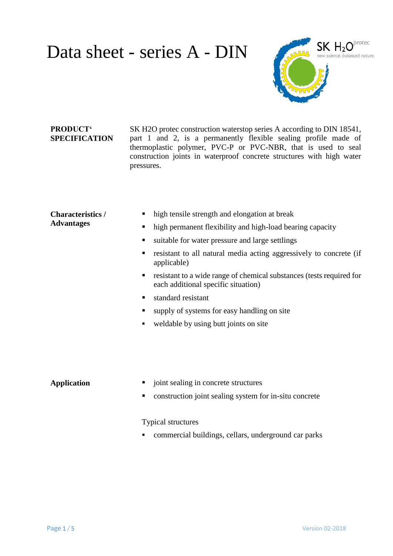

#### **PRODUCT' SPECIFICATION**

SK H2O protec construction waterstop series A according to DIN 18541, part 1 and 2, is a permanently flexible sealing profile made of thermoplastic polymer, PVC-P or PVC-NBR, that is used to seal construction joints in waterproof concrete structures with high water pressures.

#### **Characteristics / Advantages**

- high tensile strength and elongation at break
- high permanent flexibility and high-load bearing capacity
- ultable for water pressure and large settlings
- resistant to all natural media acting aggressively to concrete (if applicable)
- **resistant to a wide range of chemical substances (tests required for** each additional specific situation)
- standard resistant
- supply of systems for easy handling on site
- weldable by using butt joints on site

- **Application**  $\blacksquare$  joint sealing in concrete structures
	- construction joint sealing system for in-situ concrete

Typical structures

commercial buildings, cellars, underground car parks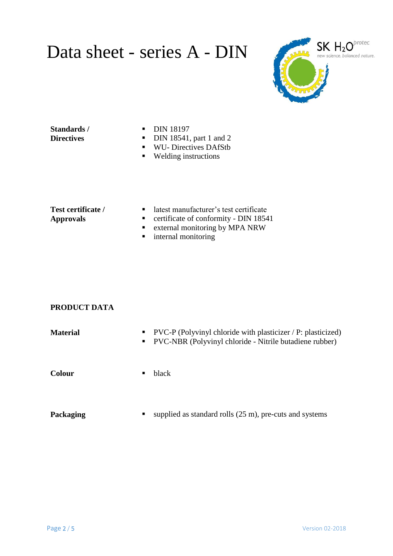

#### **Standards / Directives**

- **DIN 18197**
- $\blacksquare$  DIN 18541, part 1 and 2
- WU- Directives DAfStb
- Welding instructions

#### **Test certificate / Approvals**

- latest manufacturer's test certificate
- ertificate of conformity DIN 18541
- **External monitoring by MPA NRW**
- **n** internal monitoring

#### **PRODUCT DATA**

| <b>Material</b> | $\text{PVC-P}$ (Polyvinyl chloride with plasticizer / P: plasticized)<br>$\blacksquare$<br>PVC-NBR (Polyvinyl chloride - Nitrile butadiene rubber)<br>$\blacksquare$ . |
|-----------------|------------------------------------------------------------------------------------------------------------------------------------------------------------------------|
| <b>Colour</b>   | black<br>п.                                                                                                                                                            |
| Packaging       | supplied as standard rolls $(25 \text{ m})$ , pre-cuts and systems<br>п                                                                                                |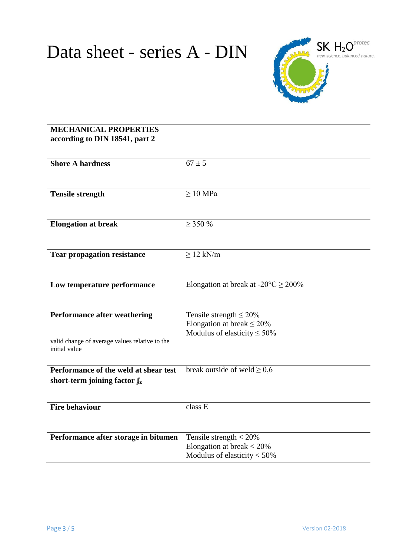

### **MECHANICAL PROPERTIES according to DIN 18541, part 2**

| <b>Shore A hardness</b>                        | $67 \pm 5$                                         |
|------------------------------------------------|----------------------------------------------------|
|                                                |                                                    |
|                                                |                                                    |
|                                                |                                                    |
| <b>Tensile strength</b>                        | $\geq 10$ MPa                                      |
|                                                |                                                    |
|                                                |                                                    |
| <b>Elongation at break</b>                     | $\geq$ 350 %                                       |
|                                                |                                                    |
|                                                |                                                    |
|                                                |                                                    |
| <b>Tear propagation resistance</b>             | $\geq$ 12 kN/m                                     |
|                                                |                                                    |
|                                                |                                                    |
| Low temperature performance                    | Elongation at break at $-20^{\circ}$ C $\geq$ 200% |
|                                                |                                                    |
|                                                |                                                    |
|                                                |                                                    |
| <b>Performance after weathering</b>            | Tensile strength $\leq 20\%$                       |
|                                                | Elongation at break $\leq$ 20%                     |
|                                                | Modulus of elasticity $\leq 50\%$                  |
| valid change of average values relative to the |                                                    |
| initial value                                  |                                                    |
|                                                |                                                    |
| Performance of the weld at shear test          |                                                    |
|                                                | break outside of weld $\geq 0.6$                   |
| short-term joining factor $f_z$                |                                                    |
|                                                |                                                    |
|                                                |                                                    |
| <b>Fire behaviour</b>                          | class E                                            |
|                                                |                                                    |
|                                                |                                                    |
|                                                |                                                    |
| Performance after storage in bitumen           | Tensile strength $<$ 20%                           |
|                                                | Elongation at break $<$ 20%                        |
|                                                | Modulus of elasticity $<$ 50%                      |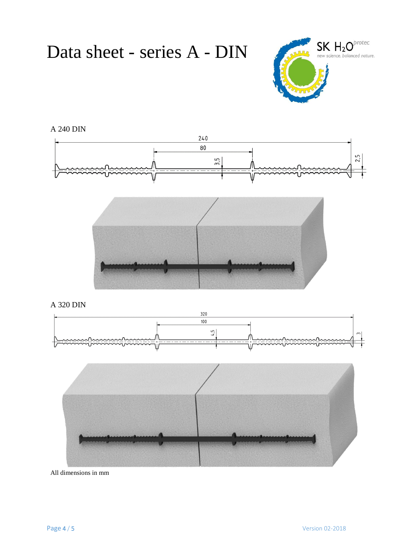

### A 240 DIN





A 320 DIN





All dimensions in mm